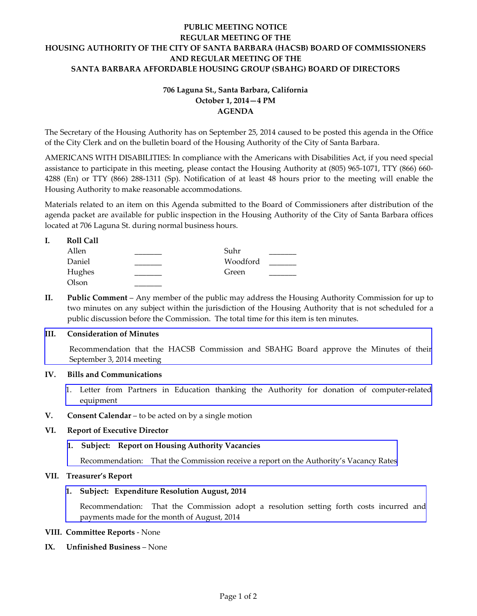# **PUBLIC MEETING NOTICE REGULAR MEETING OF THE HOUSING AUTHORITY OF THE CITY OF SANTA BARBARA (HACSB) BOARD OF COMMISSIONERS AND REGULAR MEETING OF THE SANTA BARBARA AFFORDABLE HOUSING GROUP (SBAHG) BOARD OF DIRECTORS**

# **706 Laguna St., Santa Barbara, California October 1, 2014—4 PM AGENDA**

The Secretary of the Housing Authority has on September 25, 2014 caused to be posted this agenda in the Office of the City Clerk and on the bulletin board of the Housing Authority of the City of Santa Barbara.

AMERICANS WITH DISABILITIES: In compliance with the Americans with Disabilities Act, if you need special assistance to participate in this meeting, please contact the Housing Authority at (805) 965-1071, TTY (866) 660- 4288 (En) or TTY (866) 288-1311 (Sp). Notification of at least 48 hours prior to the meeting will enable the Housing Authority to make reasonable accommodations.

Materials related to an item on this Agenda submitted to the Board of Commissioners after distribution of the agenda packet are available for public inspection in the Housing Authority of the City of Santa Barbara offices located at 706 Laguna St. during normal business hours.

| <b>Roll Call</b> |  |
|------------------|--|
|                  |  |

| Allen  | Suhr     |  |
|--------|----------|--|
| Daniel | Woodford |  |
| Hughes | Green    |  |
| Olson  |          |  |

**II. Public Comment** – Any member of the public may address the Housing Authority Commission for up to two minutes on any subject within the jurisdiction of the Housing Authority that is not scheduled for a public discussion before the Commission. The total time for this item is ten minutes.

### **III. Consideration of Minutes**

[Recommendation that the HACSB Commission and SBAHG Board approve the Minutes of their](http://www.hacsb.org/Library/agendas_minutes/2014/agenda_packet/Agenda_Packet_2014_10_01/item_III_I_2014_10_01.pdf)  September 3, 2014 meeting

### **IV. Bills and Communications**

- 1. [Letter from Partners in Education thanking the Authority for donation of computer-related](http://www.hacsb.org/Library/agendas_minutes/2014/agenda_packet/Agenda_Packet_2014_10_01/item_IV_I_2014_10_01.pdf) equipment
- **V. Consent Calendar** to be acted on by a single motion

#### **VI. Report of Executive Director**

### **1. Subject: Report on Housing Authority Vacancies**

[Recommendation: That the Commission receive a report on the Authority's Vacancy Rates](http://www.hacsb.org/Library/agendas_minutes/2014/agenda_packet/Agenda_Packet_2014_10_01/item_VI_I_2014_10_01.pdf) 

#### **VII. Treasurer's Report**

#### **1. Subject: Expenditure Resolution August, 2014**

[Recommendation: That the Commission adopt a resolution setting forth costs incurred and](http://www.hacsb.org/Library/agendas_minutes/2014/agenda_packet/Agenda_Packet_2014_10_01/item_VII_I_2014_10_01.pdf) payments made for the month of August, 2014

#### **VIII. Committee Reports** - None

### **IX. Unfinished Business** – None